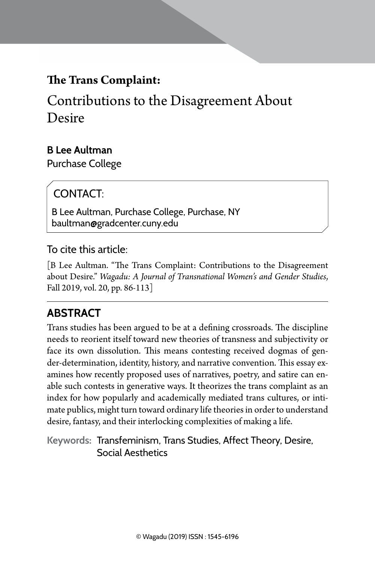# **The Trans Complaint:**

Contributions to the Disagreement About Desire

## **B Lee Aultman**

Purchase College

# CONTACT.

B Lee Aultman, Purchase College, Purchase, NY baultman@gradcenter.cuny.edu

### To cite this article:

[B Lee Aultman. "The Trans Complaint: Contributions to the Disagreement about Desire." *Wagadu: A Journal of Transnational Women's and Gender Studies*, Fall 2019, vol. 20, pp. 86-113]

## **Abstract**

Trans studies has been argued to be at a defining crossroads. The discipline needs to reorient itself toward new theories of transness and subjectivity or face its own dissolution. This means contesting received dogmas of gender-determination, identity, history, and narrative convention. This essay examines how recently proposed uses of narratives, poetry, and satire can enable such contests in generative ways. It theorizes the trans complaint as an index for how popularly and academically mediated trans cultures, or intimate publics, might turn toward ordinary life theories in order to understand desire, fantasy, and their interlocking complexities of making a life.

**Keywords:** Transfeminism, Trans Studies, Affect Theory, Desire, Social Aesthetics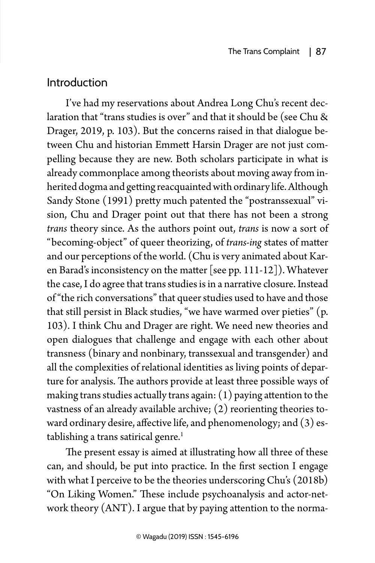## Introduction

I've had my reservations about Andrea Long Chu's recent declaration that "trans studies is over" and that it should be (see Chu & Drager, 2019, p. 103). But the concerns raised in that dialogue between Chu and historian Emmett Harsin Drager are not just compelling because they are new. Both scholars participate in what is already commonplace among theorists about moving away from inherited dogma and getting reacquainted with ordinary life. Although Sandy Stone (1991) pretty much patented the "postranssexual" vision, Chu and Drager point out that there has not been a strong *trans* theory since. As the authors point out, *trans* is now a sort of "becoming-object" of queer theorizing, of *trans-ing* states of matter and our perceptions of the world. (Chu is very animated about Karen Barad's inconsistency on the matter [see pp. 111-12]). Whatever the case, I do agree that trans studies is in a narrative closure. Instead of "the rich conversations" that queer studies used to have and those that still persist in Black studies, "we have warmed over pieties" (p. 103). I think Chu and Drager are right. We need new theories and open dialogues that challenge and engage with each other about transness (binary and nonbinary, transsexual and transgender) and all the complexities of relational identities as living points of departure for analysis. The authors provide at least three possible ways of making trans studies actually trans again: (1) paying attention to the vastness of an already available archive; (2) reorienting theories toward ordinary desire, affective life, and phenomenology; and (3) establishing a trans satirical genre.<sup>1</sup>

The present essay is aimed at illustrating how all three of these can, and should, be put into practice. In the first section I engage with what I perceive to be the theories underscoring Chu's (2018b) "On Liking Women." These include psychoanalysis and actor-network theory (ANT). I argue that by paying attention to the norma-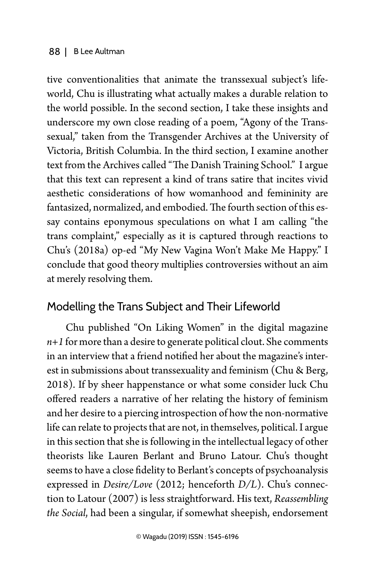tive conventionalities that animate the transsexual subject's lifeworld, Chu is illustrating what actually makes a durable relation to the world possible. In the second section, I take these insights and underscore my own close reading of a poem, "Agony of the Transsexual," taken from the Transgender Archives at the University of Victoria, British Columbia. In the third section, I examine another text from the Archives called "The Danish Training School." I argue that this text can represent a kind of trans satire that incites vivid aesthetic considerations of how womanhood and femininity are fantasized, normalized, and embodied. The fourth section of this essay contains eponymous speculations on what I am calling "the trans complaint," especially as it is captured through reactions to Chu's (2018a) op-ed "My New Vagina Won't Make Me Happy." I conclude that good theory multiplies controversies without an aim at merely resolving them.

### Modelling the Trans Subject and Their Lifeworld

Chu published "On Liking Women" in the digital magazine *n+1* for more than a desire to generate political clout. She comments in an interview that a friend notified her about the magazine's interest in submissions about transsexuality and feminism (Chu & Berg, 2018). If by sheer happenstance or what some consider luck Chu offered readers a narrative of her relating the history of feminism and her desire to a piercing introspection of how the non-normative life can relate to projects that are not, in themselves, political. I argue in this section that she is following in the intellectual legacy of other theorists like Lauren Berlant and Bruno Latour. Chu's thought seems to have a close fidelity to Berlant's concepts of psychoanalysis expressed in *Desire/Love* (2012; henceforth *D/L*). Chu's connection to Latour (2007) is less straightforward. His text, *Reassembling the Social*, had been a singular, if somewhat sheepish, endorsement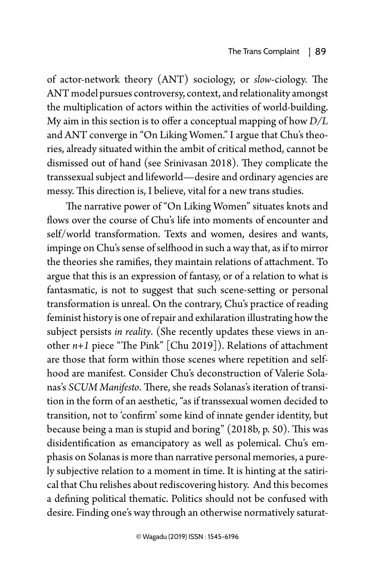of actor-network theory (ANT) sociology, or *slow*-ciology. The ANT model pursues controversy, context, and relationality amongst the multiplication of actors within the activities of world-building. My aim in this section is to offer a conceptual mapping of how *D/L*  and ANT converge in "On Liking Women." I argue that Chu's theories, already situated within the ambit of critical method, cannot be dismissed out of hand (see Srinivasan 2018). They complicate the transsexual subject and lifeworld—desire and ordinary agencies are messy. This direction is, I believe, vital for a new trans studies.

The narrative power of "On Liking Women" situates knots and flows over the course of Chu's life into moments of encounter and self/world transformation. Texts and women, desires and wants, impinge on Chu's sense of selfhood in such a way that, as if to mirror the theories she ramifies, they maintain relations of attachment. To argue that this is an expression of fantasy, or of a relation to what is fantasmatic, is not to suggest that such scene-setting or personal transformation is unreal. On the contrary, Chu's practice of reading feminist history is one of repair and exhilaration illustrating how the subject persists *in reality*. (She recently updates these views in another *n+1* piece "The Pink" [Chu 2019]). Relations of attachment are those that form within those scenes where repetition and selfhood are manifest. Consider Chu's deconstruction of Valerie Solanas's *SCUM Manifesto*. There, she reads Solanas's iteration of transition in the form of an aesthetic, "as if transsexual women decided to transition, not to 'confirm' some kind of innate gender identity, but because being a man is stupid and boring" (2018b, p. 50). This was disidentification as emancipatory as well as polemical. Chu's emphasis on Solanas is more than narrative personal memories, a purely subjective relation to a moment in time. It is hinting at the satirical that Chu relishes about rediscovering history. And this becomes a defining political thematic. Politics should not be confused with desire. Finding one's way through an otherwise normatively saturat-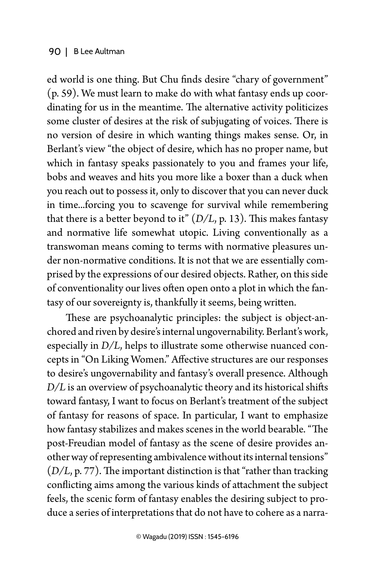ed world is one thing. But Chu finds desire "chary of government" (p. 59). We must learn to make do with what fantasy ends up coordinating for us in the meantime. The alternative activity politicizes some cluster of desires at the risk of subjugating of voices. There is no version of desire in which wanting things makes sense. Or, in Berlant's view "the object of desire, which has no proper name, but which in fantasy speaks passionately to you and frames your life, bobs and weaves and hits you more like a boxer than a duck when you reach out to possess it, only to discover that you can never duck in time...forcing you to scavenge for survival while remembering that there is a better beyond to it" (*D/L*, p. 13). This makes fantasy and normative life somewhat utopic. Living conventionally as a transwoman means coming to terms with normative pleasures under non-normative conditions. It is not that we are essentially comprised by the expressions of our desired objects. Rather, on this side of conventionality our lives often open onto a plot in which the fantasy of our sovereignty is, thankfully it seems, being written.

These are psychoanalytic principles: the subject is object-anchored and riven by desire's internal ungovernability. Berlant's work, especially in *D/L*, helps to illustrate some otherwise nuanced concepts in "On Liking Women." Affective structures are our responses to desire's ungovernability and fantasy's overall presence. Although *D/L* is an overview of psychoanalytic theory and its historical shifts toward fantasy, I want to focus on Berlant's treatment of the subject of fantasy for reasons of space. In particular, I want to emphasize how fantasy stabilizes and makes scenes in the world bearable. "The post-Freudian model of fantasy as the scene of desire provides another way of representing ambivalence without its internal tensions" (*D/L*, p. 77). The important distinction is that "rather than tracking conflicting aims among the various kinds of attachment the subject feels, the scenic form of fantasy enables the desiring subject to produce a series of interpretations that do not have to cohere as a narra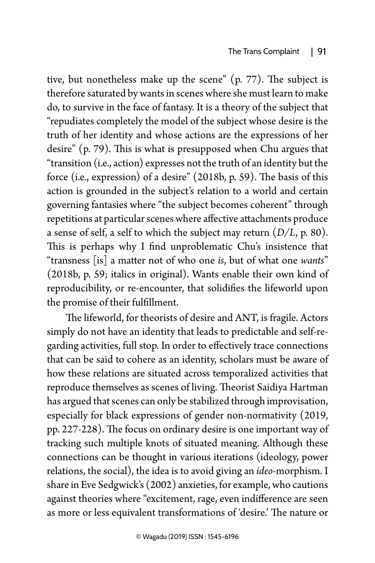tive, but nonetheless make up the scene" (p. 77). The subject is therefore saturated by wants in scenes where she must learn to make do, to survive in the face of fantasy. It is a theory of the subject that "repudiates completely the model of the subject whose desire is the truth of her identity and whose actions are the expressions of her desire" (p. 79). This is what is presupposed when Chu argues that "transition (i.e., action) expresses not the truth of an identity but the force (i.e., expression) of a desire" (2018b, p. 59). The basis of this action is grounded in the subject's relation to a world and certain governing fantasies where "the subject becomes coherent" through repetitions at particular scenes where affective attachments produce a sense of self, a self to which the subject may return (*D/L*, p. 80). This is perhaps why I find unproblematic Chu's insistence that "transness [is] a matter not of who one *is*, but of what one *wants*" (2018b, p. 59; italics in original). Wants enable their own kind of reproducibility, or re-encounter, that solidifies the lifeworld upon the promise of their fulfillment.

The lifeworld, for theorists of desire and ANT, is fragile. Actors simply do not have an identity that leads to predictable and self-regarding activities, full stop. In order to effectively trace connections that can be said to cohere as an identity, scholars must be aware of how these relations are situated across temporalized activities that reproduce themselves as scenes of living. Theorist Saidiya Hartman has argued that scenes can only be stabilized through improvisation, especially for black expressions of gender non-normativity (2019, pp. 227-228). The focus on ordinary desire is one important way of tracking such multiple knots of situated meaning. Although these connections can be thought in various iterations (ideology, power relations, the social), the idea is to avoid giving an *ideo*-morphism. I share in Eve Sedgwick's (2002) anxieties, for example, who cautions against theories where "excitement, rage, even indifference are seen as more or less equivalent transformations of 'desire.' The nature or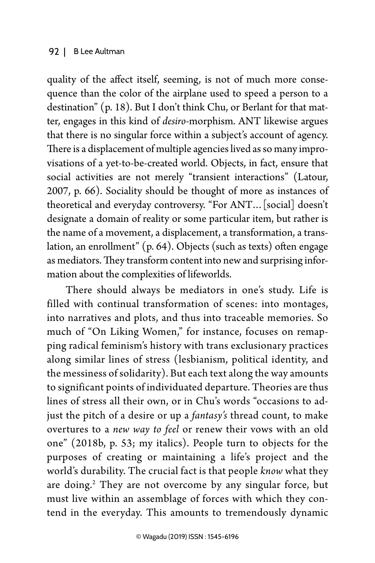quality of the affect itself, seeming, is not of much more consequence than the color of the airplane used to speed a person to a destination" (p. 18). But I don't think Chu, or Berlant for that matter, engages in this kind of *desiro*-morphism. ANT likewise argues that there is no singular force within a subject's account of agency. There is a displacement of multiple agencies lived as so many improvisations of a yet-to-be-created world. Objects, in fact, ensure that social activities are not merely "transient interactions" (Latour, 2007, p. 66). Sociality should be thought of more as instances of theoretical and everyday controversy. "For ANT…[social] doesn't designate a domain of reality or some particular item, but rather is the name of a movement, a displacement, a transformation, a translation, an enrollment" (p. 64). Objects (such as texts) often engage as mediators. They transform content into new and surprising information about the complexities of lifeworlds.

There should always be mediators in one's study. Life is filled with continual transformation of scenes: into montages, into narratives and plots, and thus into traceable memories. So much of "On Liking Women," for instance, focuses on remapping radical feminism's history with trans exclusionary practices along similar lines of stress (lesbianism, political identity, and the messiness of solidarity). But each text along the way amounts to significant points of individuated departure. Theories are thus lines of stress all their own, or in Chu's words "occasions to adjust the pitch of a desire or up a *fantasy's* thread count, to make overtures to a *new way to feel* or renew their vows with an old one" (2018b, p. 53; my italics). People turn to objects for the purposes of creating or maintaining a life's project and the world's durability. The crucial fact is that people *know* what they are doing.<sup>2</sup> They are not overcome by any singular force, but must live within an assemblage of forces with which they contend in the everyday. This amounts to tremendously dynamic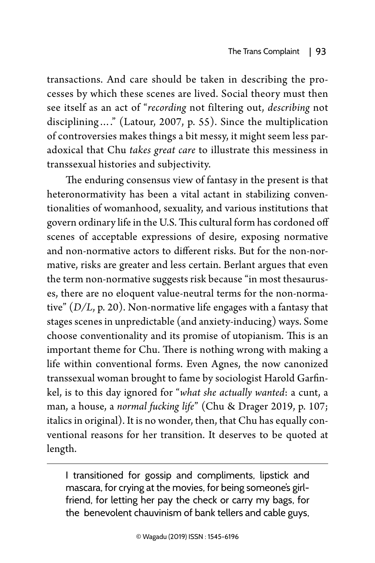transactions. And care should be taken in describing the processes by which these scenes are lived. Social theory must then see itself as an act of "*recording* not filtering out, *describing* not disciplining…." (Latour, 2007, p. 55). Since the multiplication of controversies makes things a bit messy, it might seem less paradoxical that Chu *takes great care* to illustrate this messiness in transsexual histories and subjectivity.

The enduring consensus view of fantasy in the present is that heteronormativity has been a vital actant in stabilizing conventionalities of womanhood, sexuality, and various institutions that govern ordinary life in the U.S. This cultural form has cordoned off scenes of acceptable expressions of desire, exposing normative and non-normative actors to different risks. But for the non-normative, risks are greater and less certain. Berlant argues that even the term non-normative suggests risk because "in most thesauruses, there are no eloquent value-neutral terms for the non-normative" (*D/L*, p. 20). Non-normative life engages with a fantasy that stages scenes in unpredictable (and anxiety-inducing) ways. Some choose conventionality and its promise of utopianism. This is an important theme for Chu. There is nothing wrong with making a life within conventional forms. Even Agnes, the now canonized transsexual woman brought to fame by sociologist Harold Garfinkel, is to this day ignored for "*what she actually wanted*: a cunt, a man, a house, a *normal fucking life*" (Chu & Drager 2019, p. 107; italics in original). It is no wonder, then, that Chu has equally conventional reasons for her transition. It deserves to be quoted at length.

I transitioned for gossip and compliments, lipstick and mascara, for crying at the movies, for being someone's girlfriend, for letting her pay the check or carry my bags, for the benevolent chauvinism of bank tellers and cable guys,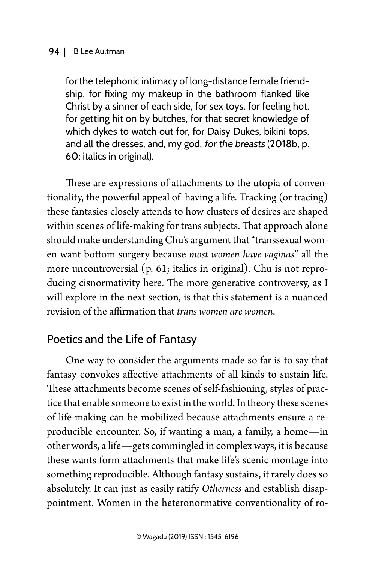for the telephonic intimacy of long-distance female friendship, for fixing my makeup in the bathroom flanked like Christ by a sinner of each side, for sex toys, for feeling hot, for getting hit on by butches, for that secret knowledge of which dykes to watch out for, for Daisy Dukes, bikini tops, and all the dresses, and, my god, for the breasts (2018b, p. 60; italics in original).

These are expressions of attachments to the utopia of conventionality, the powerful appeal of having a life. Tracking (or tracing) these fantasies closely attends to how clusters of desires are shaped within scenes of life-making for trans subjects. That approach alone should make understanding Chu's argument that "transsexual women want bottom surgery because *most women have vaginas*" all the more uncontroversial (p. 61; italics in original). Chu is not reproducing cisnormativity here. The more generative controversy, as I will explore in the next section, is that this statement is a nuanced revision of the affirmation that *trans women are women*.

## Poetics and the Life of Fantasy

One way to consider the arguments made so far is to say that fantasy convokes affective attachments of all kinds to sustain life. These attachments become scenes of self-fashioning, styles of practice that enable someone to exist in the world. In theory these scenes of life-making can be mobilized because attachments ensure a reproducible encounter. So, if wanting a man, a family, a home—in other words, a life—gets commingled in complex ways, it is because these wants form attachments that make life's scenic montage into something reproducible. Although fantasy sustains, it rarely does so absolutely. It can just as easily ratify *Otherness* and establish disappointment. Women in the heteronormative conventionality of ro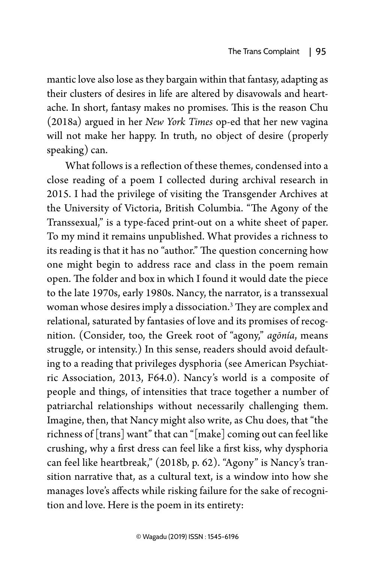mantic love also lose as they bargain within that fantasy, adapting as their clusters of desires in life are altered by disavowals and heartache. In short, fantasy makes no promises. This is the reason Chu (2018a) argued in her *New York Times* op-ed that her new vagina will not make her happy. In truth, no object of desire (properly speaking) can.

What follows is a reflection of these themes, condensed into a close reading of a poem I collected during archival research in 2015. I had the privilege of visiting the Transgender Archives at the University of Victoria, British Columbia. "The Agony of the Transsexual," is a type-faced print-out on a white sheet of paper. To my mind it remains unpublished. What provides a richness to its reading is that it has no "author." The question concerning how one might begin to address race and class in the poem remain open. The folder and box in which I found it would date the piece to the late 1970s, early 1980s. Nancy, the narrator, is a transsexual woman whose desires imply a dissociation.3 They are complex and relational, saturated by fantasies of love and its promises of recognition. (Consider, too, the Greek root of "agony," *agōnía*, means struggle, or intensity.) In this sense, readers should avoid defaulting to a reading that privileges dysphoria (see American Psychiatric Association, 2013, F64.0). Nancy's world is a composite of people and things, of intensities that trace together a number of patriarchal relationships without necessarily challenging them. Imagine, then, that Nancy might also write, as Chu does, that "the richness of [trans] want" that can "[make] coming out can feel like crushing, why a first dress can feel like a first kiss, why dysphoria can feel like heartbreak," (2018b, p. 62). "Agony" is Nancy's transition narrative that, as a cultural text, is a window into how she manages love's affects while risking failure for the sake of recognition and love. Here is the poem in its entirety: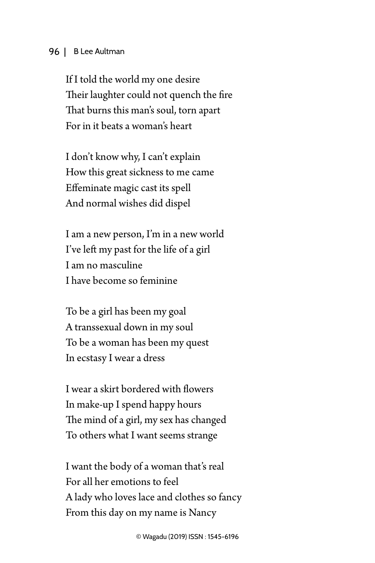If I told the world my one desire Their laughter could not quench the fire That burns this man's soul, torn apart For in it beats a woman's heart

I don't know why, I can't explain How this great sickness to me came Effeminate magic cast its spell And normal wishes did dispel

I am a new person, I'm in a new world I've left my past for the life of a girl I am no masculine I have become so feminine

To be a girl has been my goal A transsexual down in my soul To be a woman has been my quest In ecstasy I wear a dress

I wear a skirt bordered with flowers In make-up I spend happy hours The mind of a girl, my sex has changed To others what I want seems strange

I want the body of a woman that's real For all her emotions to feel A lady who loves lace and clothes so fancy From this day on my name is Nancy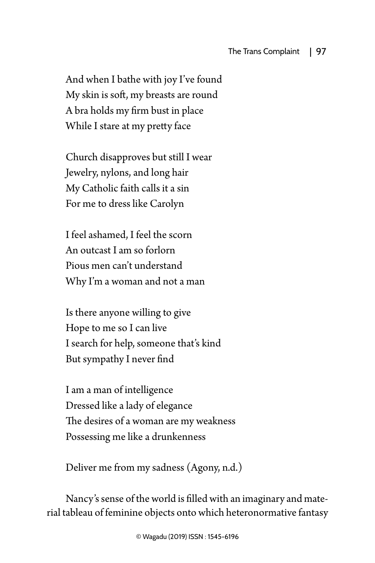And when I bathe with joy I've found My skin is soft, my breasts are round A bra holds my firm bust in place While I stare at my pretty face

Church disapproves but still I wear Jewelry, nylons, and long hair My Catholic faith calls it a sin For me to dress like Carolyn

I feel ashamed, I feel the scorn An outcast I am so forlorn Pious men can't understand Why I'm a woman and not a man

Is there anyone willing to give Hope to me so I can live I search for help, someone that's kind But sympathy I never find

I am a man of intelligence Dressed like a lady of elegance The desires of a woman are my weakness Possessing me like a drunkenness

Deliver me from my sadness (Agony, n.d.)

Nancy's sense of the world is filled with an imaginary and material tableau of feminine objects onto which heteronormative fantasy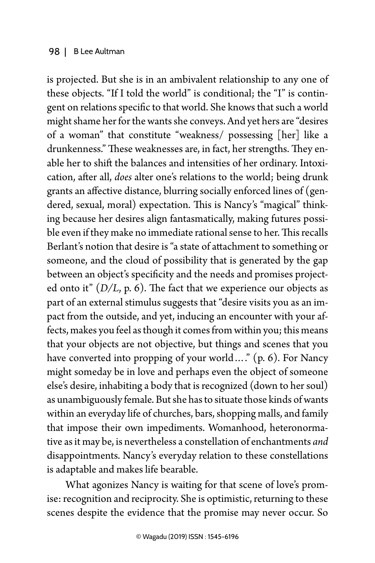is projected. But she is in an ambivalent relationship to any one of these objects. "If I told the world" is conditional; the "I" is contingent on relations specific to that world. She knows that such a world might shame her for the wants she conveys. And yet hers are "desires of a woman" that constitute "weakness/ possessing [her] like a drunkenness." These weaknesses are, in fact, her strengths. They enable her to shift the balances and intensities of her ordinary. Intoxication, after all, *does* alter one's relations to the world; being drunk grants an affective distance, blurring socially enforced lines of (gendered, sexual, moral) expectation. This is Nancy's "magical" thinking because her desires align fantasmatically, making futures possible even if they make no immediate rational sense to her. This recalls Berlant's notion that desire is "a state of attachment to something or someone, and the cloud of possibility that is generated by the gap between an object's specificity and the needs and promises projected onto it"  $(D/L, p. 6)$ . The fact that we experience our objects as part of an external stimulus suggests that "desire visits you as an impact from the outside, and yet, inducing an encounter with your affects, makes you feel as though it comes from within you; this means that your objects are not objective, but things and scenes that you have converted into propping of your world...." (p. 6). For Nancy might someday be in love and perhaps even the object of someone else's desire, inhabiting a body that is recognized (down to her soul) as unambiguously female. But she has to situate those kinds of wants within an everyday life of churches, bars, shopping malls, and family that impose their own impediments. Womanhood, heteronormative as it may be, is nevertheless a constellation of enchantments *and* disappointments. Nancy's everyday relation to these constellations is adaptable and makes life bearable.

What agonizes Nancy is waiting for that scene of love's promise: recognition and reciprocity. She is optimistic, returning to these scenes despite the evidence that the promise may never occur. So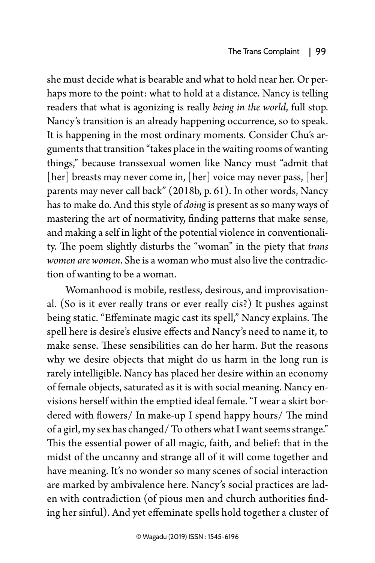she must decide what is bearable and what to hold near her. Or perhaps more to the point: what to hold at a distance. Nancy is telling readers that what is agonizing is really *being in the world*, full stop. Nancy's transition is an already happening occurrence, so to speak. It is happening in the most ordinary moments. Consider Chu's arguments that transition "takes place in the waiting rooms of wanting things," because transsexual women like Nancy must "admit that [her] breasts may never come in, [her] voice may never pass, [her] parents may never call back" (2018b, p. 61). In other words, Nancy has to make do. And this style of *doing* is present as so many ways of mastering the art of normativity, finding patterns that make sense, and making a self in light of the potential violence in conventionality. The poem slightly disturbs the "woman" in the piety that *trans women are women*. She is a woman who must also live the contradiction of wanting to be a woman.

Womanhood is mobile, restless, desirous, and improvisational. (So is it ever really trans or ever really cis?) It pushes against being static. "Effeminate magic cast its spell," Nancy explains. The spell here is desire's elusive effects and Nancy's need to name it, to make sense. These sensibilities can do her harm. But the reasons why we desire objects that might do us harm in the long run is rarely intelligible. Nancy has placed her desire within an economy of female objects, saturated as it is with social meaning. Nancy envisions herself within the emptied ideal female. "I wear a skirt bordered with flowers/ In make-up I spend happy hours/ The mind of a girl, my sex has changed/ To others what I want seems strange." This the essential power of all magic, faith, and belief: that in the midst of the uncanny and strange all of it will come together and have meaning. It's no wonder so many scenes of social interaction are marked by ambivalence here. Nancy's social practices are laden with contradiction (of pious men and church authorities finding her sinful). And yet effeminate spells hold together a cluster of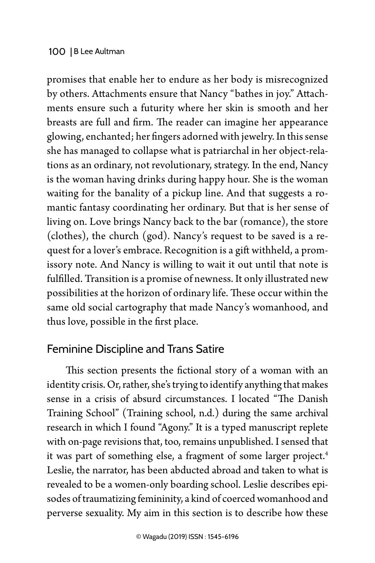promises that enable her to endure as her body is misrecognized by others. Attachments ensure that Nancy "bathes in joy." Attachments ensure such a futurity where her skin is smooth and her breasts are full and firm. The reader can imagine her appearance glowing, enchanted; her fingers adorned with jewelry. In this sense she has managed to collapse what is patriarchal in her object-relations as an ordinary, not revolutionary, strategy. In the end, Nancy is the woman having drinks during happy hour. She is the woman waiting for the banality of a pickup line. And that suggests a romantic fantasy coordinating her ordinary. But that is her sense of living on. Love brings Nancy back to the bar (romance), the store (clothes), the church (god). Nancy's request to be saved is a request for a lover's embrace. Recognition is a gift withheld, a promissory note. And Nancy is willing to wait it out until that note is fulfilled. Transition is a promise of newness. It only illustrated new possibilities at the horizon of ordinary life. These occur within the same old social cartography that made Nancy's womanhood, and thus love, possible in the first place.

## Feminine Discipline and Trans Satire

This section presents the fictional story of a woman with an identity crisis. Or, rather, she's trying to identify anything that makes sense in a crisis of absurd circumstances. I located "The Danish Training School" (Training school, n.d.) during the same archival research in which I found "Agony." It is a typed manuscript replete with on-page revisions that, too, remains unpublished. I sensed that it was part of something else, a fragment of some larger project.<sup>4</sup> Leslie, the narrator, has been abducted abroad and taken to what is revealed to be a women-only boarding school. Leslie describes episodes of traumatizing femininity, a kind of coerced womanhood and perverse sexuality. My aim in this section is to describe how these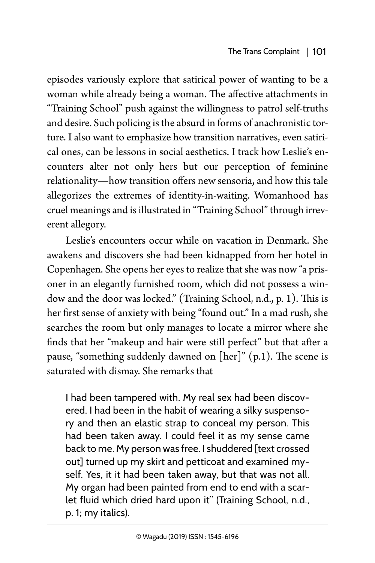episodes variously explore that satirical power of wanting to be a woman while already being a woman. The affective attachments in "Training School" push against the willingness to patrol self-truths and desire. Such policing is the absurd in forms of anachronistic torture. I also want to emphasize how transition narratives, even satirical ones, can be lessons in social aesthetics. I track how Leslie's encounters alter not only hers but our perception of feminine relationality—how transition offers new sensoria, and how this tale allegorizes the extremes of identity-in-waiting. Womanhood has cruel meanings and is illustrated in "Training School" through irreverent allegory.

Leslie's encounters occur while on vacation in Denmark. She awakens and discovers she had been kidnapped from her hotel in Copenhagen. She opens her eyes to realize that she was now "a prisoner in an elegantly furnished room, which did not possess a window and the door was locked." (Training School, n.d., p. 1). This is her first sense of anxiety with being "found out." In a mad rush, she searches the room but only manages to locate a mirror where she finds that her "makeup and hair were still perfect" but that after a pause, "something suddenly dawned on  $[her]$ " (p.1). The scene is saturated with dismay. She remarks that

I had been tampered with. My real sex had been discovered. I had been in the habit of wearing a silky suspensory and then an elastic strap to conceal my person. This had been taken away. I could feel it as my sense came back to me. My person was free. I shuddered [text crossed out] turned up my skirt and petticoat and examined myself. Yes, it it had been taken away, but that was not all. My organ had been painted from end to end with a scarlet fluid which dried hard upon it" (Training School, n.d., p. 1; my italics).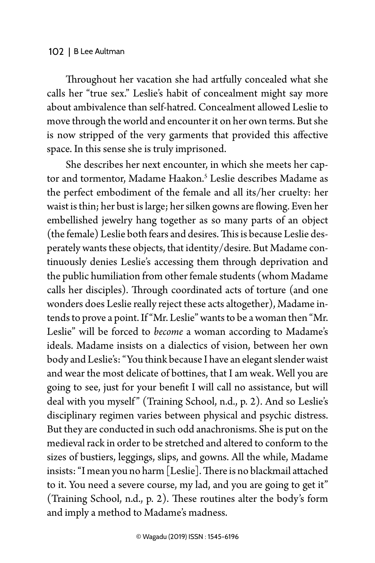Throughout her vacation she had artfully concealed what she calls her "true sex." Leslie's habit of concealment might say more about ambivalence than self-hatred. Concealment allowed Leslie to move through the world and encounter it on her own terms. But she is now stripped of the very garments that provided this affective space. In this sense she is truly imprisoned.

She describes her next encounter, in which she meets her captor and tormentor, Madame Haakon.<sup>5</sup> Leslie describes Madame as the perfect embodiment of the female and all its/her cruelty: her waist is thin; her bust is large; her silken gowns are flowing. Even her embellished jewelry hang together as so many parts of an object (the female) Leslie both fears and desires. This is because Leslie desperately wants these objects, that identity/desire. But Madame continuously denies Leslie's accessing them through deprivation and the public humiliation from other female students (whom Madame calls her disciples). Through coordinated acts of torture (and one wonders does Leslie really reject these acts altogether), Madame intends to prove a point. If "Mr. Leslie" wants to be a woman then "Mr. Leslie" will be forced to *become* a woman according to Madame's ideals. Madame insists on a dialectics of vision, between her own body and Leslie's: "You think because I have an elegant slender waist and wear the most delicate of bottines, that I am weak. Well you are going to see, just for your benefit I will call no assistance, but will deal with you myself" (Training School, n.d., p. 2). And so Leslie's disciplinary regimen varies between physical and psychic distress. But they are conducted in such odd anachronisms. She is put on the medieval rack in order to be stretched and altered to conform to the sizes of bustiers, leggings, slips, and gowns. All the while, Madame insists: "I mean you no harm [Leslie]. There is no blackmail attached to it. You need a severe course, my lad, and you are going to get it" (Training School, n.d., p. 2). These routines alter the body's form and imply a method to Madame's madness.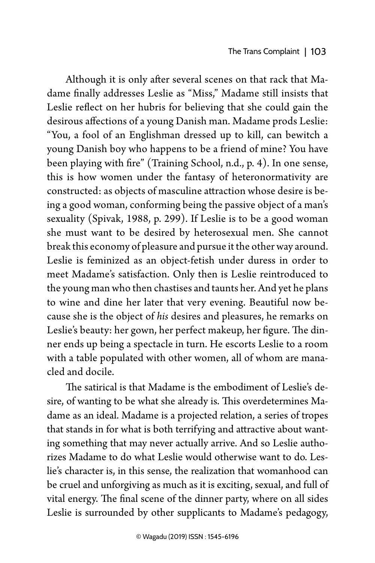Although it is only after several scenes on that rack that Madame finally addresses Leslie as "Miss," Madame still insists that Leslie reflect on her hubris for believing that she could gain the desirous affections of a young Danish man. Madame prods Leslie: "You, a fool of an Englishman dressed up to kill, can bewitch a young Danish boy who happens to be a friend of mine? You have been playing with fire" (Training School, n.d., p. 4). In one sense, this is how women under the fantasy of heteronormativity are constructed: as objects of masculine attraction whose desire is being a good woman, conforming being the passive object of a man's sexuality (Spivak, 1988, p. 299). If Leslie is to be a good woman she must want to be desired by heterosexual men. She cannot break this economy of pleasure and pursue it the other way around. Leslie is feminized as an object-fetish under duress in order to meet Madame's satisfaction. Only then is Leslie reintroduced to the young man who then chastises and taunts her. And yet he plans to wine and dine her later that very evening. Beautiful now because she is the object of *his* desires and pleasures, he remarks on Leslie's beauty: her gown, her perfect makeup, her figure. The dinner ends up being a spectacle in turn. He escorts Leslie to a room with a table populated with other women, all of whom are manacled and docile.

The satirical is that Madame is the embodiment of Leslie's desire, of wanting to be what she already is. This overdetermines Madame as an ideal. Madame is a projected relation, a series of tropes that stands in for what is both terrifying and attractive about wanting something that may never actually arrive. And so Leslie authorizes Madame to do what Leslie would otherwise want to do. Leslie's character is, in this sense, the realization that womanhood can be cruel and unforgiving as much as it is exciting, sexual, and full of vital energy. The final scene of the dinner party, where on all sides Leslie is surrounded by other supplicants to Madame's pedagogy,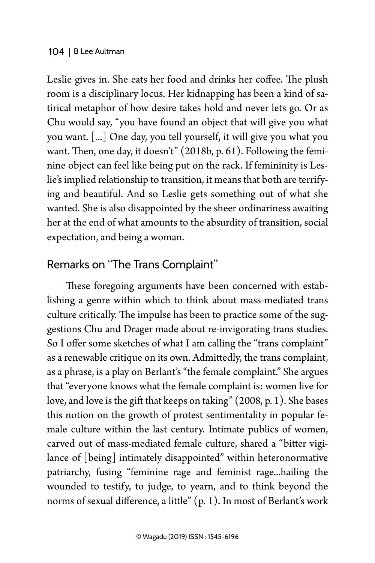Leslie gives in. She eats her food and drinks her coffee. The plush room is a disciplinary locus. Her kidnapping has been a kind of satirical metaphor of how desire takes hold and never lets go. Or as Chu would say, "you have found an object that will give you what you want. [...] One day, you tell yourself, it will give you what you want. Then, one day, it doesn't" (2018b, p. 61). Following the feminine object can feel like being put on the rack. If femininity is Leslie's implied relationship to transition, it means that both are terrifying and beautiful. And so Leslie gets something out of what she wanted. She is also disappointed by the sheer ordinariness awaiting her at the end of what amounts to the absurdity of transition, social expectation, and being a woman.

## Remarks on "The Trans Complaint"

These foregoing arguments have been concerned with establishing a genre within which to think about mass-mediated trans culture critically. The impulse has been to practice some of the suggestions Chu and Drager made about re-invigorating trans studies. So I offer some sketches of what I am calling the "trans complaint" as a renewable critique on its own. Admittedly, the trans complaint, as a phrase, is a play on Berlant's "the female complaint." She argues that "everyone knows what the female complaint is: women live for love, and love is the gift that keeps on taking" (2008, p. 1). She bases this notion on the growth of protest sentimentality in popular female culture within the last century. Intimate publics of women, carved out of mass-mediated female culture, shared a "bitter vigilance of [being] intimately disappointed" within heteronormative patriarchy, fusing "feminine rage and feminist rage...hailing the wounded to testify, to judge, to yearn, and to think beyond the norms of sexual difference, a little" (p. 1). In most of Berlant's work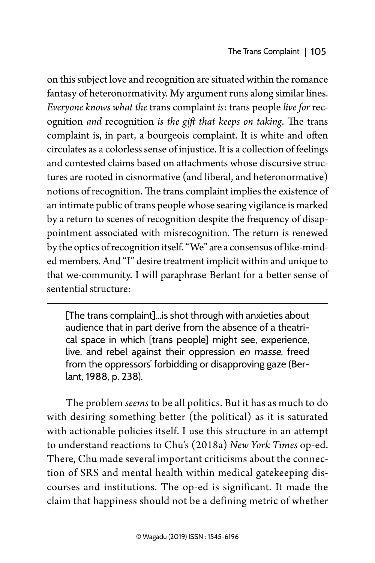on this subject love and recognition are situated within the romance fantasy of heteronormativity. My argument runs along similar lines. *Everyone knows what the* trans complaint *is*: trans people *live for* recognition *and* recognition *is the gift that keeps on taking*. The trans complaint is, in part, a bourgeois complaint. It is white and often circulates as a colorless sense of injustice. It is a collection of feelings and contested claims based on attachments whose discursive structures are rooted in cisnormative (and liberal, and heteronormative) notions of recognition. The trans complaint implies the existence of an intimate public of trans people whose searing vigilance is marked by a return to scenes of recognition despite the frequency of disappointment associated with misrecognition. The return is renewed by the optics of recognition itself. "We" are a consensus of like-minded members. And "I" desire treatment implicit within and unique to that we-community. I will paraphrase Berlant for a better sense of sentential structure:

[The trans complaint]...is shot through with anxieties about audience that in part derive from the absence of a theatrical space in which [trans people] might see, experience, live, and rebel against their oppression en masse, freed from the oppressors' forbidding or disapproving gaze (Berlant, 1988, p. 238).

The problem *seems* to be all politics. But it has as much to do with desiring something better (the political) as it is saturated with actionable policies itself. I use this structure in an attempt to understand reactions to Chu's (2018a) *New York Times* op-ed. There, Chu made several important criticisms about the connection of SRS and mental health within medical gatekeeping discourses and institutions. The op-ed is significant. It made the claim that happiness should not be a defining metric of whether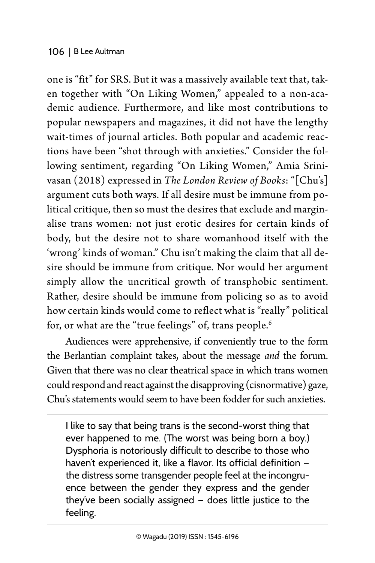one is "fit" for SRS. But it was a massively available text that, taken together with "On Liking Women," appealed to a non-academic audience. Furthermore, and like most contributions to popular newspapers and magazines, it did not have the lengthy wait-times of journal articles. Both popular and academic reactions have been "shot through with anxieties." Consider the following sentiment, regarding "On Liking Women," Amia Srinivasan (2018) expressed in *The London Review of Books*: "[Chu's] argument cuts both ways. If all desire must be immune from political critique, then so must the desires that exclude and marginalise trans women: not just erotic desires for certain kinds of body, but the desire not to share womanhood itself with the 'wrong' kinds of woman." Chu isn't making the claim that all desire should be immune from critique. Nor would her argument simply allow the uncritical growth of transphobic sentiment. Rather, desire should be immune from policing so as to avoid how certain kinds would come to reflect what is "really" political for, or what are the "true feelings" of, trans people.<sup>6</sup>

Audiences were apprehensive, if conveniently true to the form the Berlantian complaint takes, about the message *and* the forum. Given that there was no clear theatrical space in which trans women could respond and react against the disapproving (cisnormative) gaze, Chu's statements would seem to have been fodder for such anxieties.

I like to say that being trans is the second-worst thing that ever happened to me. (The worst was being born a boy.) Dysphoria is notoriously difficult to describe to those who haven't experienced it, like a flavor. Its official definition the distress some transgender people feel at the incongruence between the gender they express and the gender they've been socially assigned — does little justice to the feeling.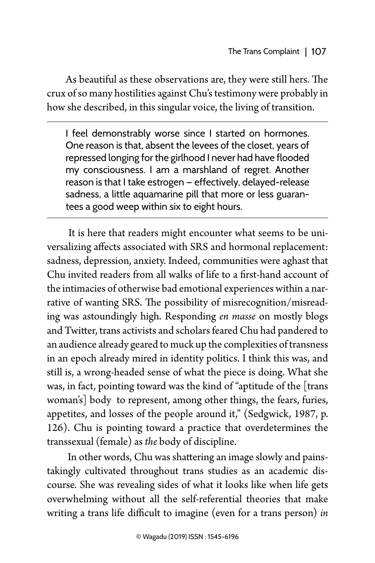As beautiful as these observations are, they were still hers. The crux of so many hostilities against Chu's testimony were probably in how she described, in this singular voice, the living of transition.

I feel demonstrably worse since I started on hormones. One reason is that, absent the levees of the closet, years of repressed longing for the girlhood I never had have flooded my consciousness. I am a marshland of regret. Another reason is that I take estrogen — effectively, delayed-release sadness, a little aquamarine pill that more or less guarantees a good weep within six to eight hours.

 It is here that readers might encounter what seems to be universalizing affects associated with SRS and hormonal replacement: sadness, depression, anxiety. Indeed, communities were aghast that Chu invited readers from all walks of life to a first-hand account of the intimacies of otherwise bad emotional experiences within a narrative of wanting SRS. The possibility of misrecognition/misreading was astoundingly high. Responding *en masse* on mostly blogs and Twitter, trans activists and scholars feared Chu had pandered to an audience already geared to muck up the complexities of transness in an epoch already mired in identity politics. I think this was, and still is, a wrong-headed sense of what the piece is doing. What she was, in fact, pointing toward was the kind of "aptitude of the [trans woman's] body to represent, among other things, the fears, furies, appetites, and losses of the people around it," (Sedgwick, 1987, p. 126). Chu is pointing toward a practice that overdetermines the transsexual (female) as *the* body of discipline.

 In other words, Chu was shattering an image slowly and painstakingly cultivated throughout trans studies as an academic discourse. She was revealing sides of what it looks like when life gets overwhelming without all the self-referential theories that make writing a trans life difficult to imagine (even for a trans person) *in*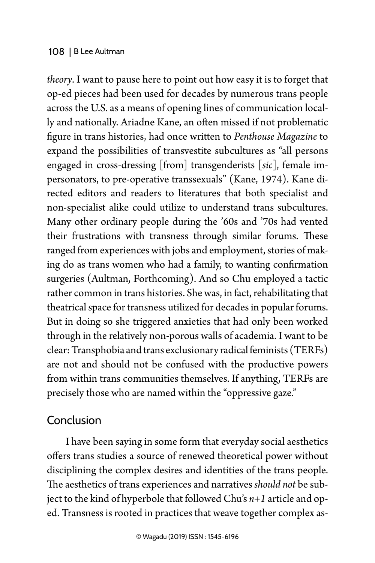*theory*. I want to pause here to point out how easy it is to forget that op-ed pieces had been used for decades by numerous trans people across the U.S. as a means of opening lines of communication locally and nationally. Ariadne Kane, an often missed if not problematic figure in trans histories, had once written to *Penthouse Magazine* to expand the possibilities of transvestite subcultures as "all persons engaged in cross-dressing [from] transgenderists [*sic*], female impersonators, to pre-operative transsexuals" (Kane, 1974). Kane directed editors and readers to literatures that both specialist and non-specialist alike could utilize to understand trans subcultures. Many other ordinary people during the '60s and '70s had vented their frustrations with transness through similar forums. These ranged from experiences with jobs and employment, stories of making do as trans women who had a family, to wanting confirmation surgeries (Aultman, Forthcoming). And so Chu employed a tactic rather common in trans histories. She was, in fact, rehabilitating that theatrical space for transness utilized for decades in popular forums. But in doing so she triggered anxieties that had only been worked through in the relatively non-porous walls of academia. I want to be clear: Transphobia and trans exclusionary radical feminists (TERFs) are not and should not be confused with the productive powers from within trans communities themselves. If anything, TERFs are precisely those who are named within the "oppressive gaze."

## Conclusion

I have been saying in some form that everyday social aesthetics offers trans studies a source of renewed theoretical power without disciplining the complex desires and identities of the trans people. The aesthetics of trans experiences and narratives *should not* be subject to the kind of hyperbole that followed Chu's *n+1* article and oped. Transness is rooted in practices that weave together complex as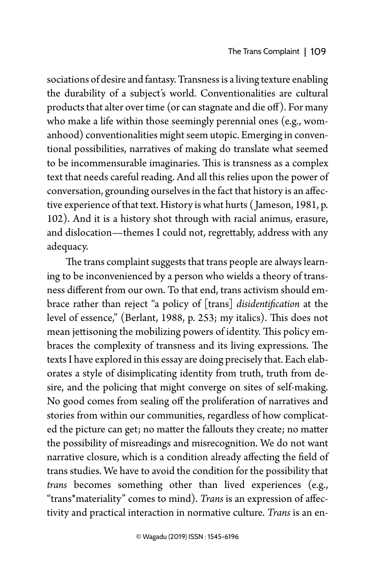sociations of desire and fantasy. Transness is a living texture enabling the durability of a subject's world. Conventionalities are cultural products that alter over time (or can stagnate and die off). For many who make a life within those seemingly perennial ones (e.g., womanhood) conventionalities might seem utopic. Emerging in conventional possibilities, narratives of making do translate what seemed to be incommensurable imaginaries. This is transness as a complex text that needs careful reading. And all this relies upon the power of conversation, grounding ourselves in the fact that history is an affective experience of that text. History is what hurts ( Jameson, 1981, p. 102). And it is a history shot through with racial animus, erasure, and dislocation—themes I could not, regrettably, address with any adequacy.

The trans complaint suggests that trans people are always learning to be inconvenienced by a person who wields a theory of transness different from our own. To that end, trans activism should embrace rather than reject "a policy of [trans] *disidentification* at the level of essence," (Berlant, 1988, p. 253; my italics). This does not mean jettisoning the mobilizing powers of identity. This policy embraces the complexity of transness and its living expressions. The texts I have explored in this essay are doing precisely that. Each elaborates a style of disimplicating identity from truth, truth from desire, and the policing that might converge on sites of self-making. No good comes from sealing off the proliferation of narratives and stories from within our communities, regardless of how complicated the picture can get; no matter the fallouts they create; no matter the possibility of misreadings and misrecognition. We do not want narrative closure, which is a condition already affecting the field of trans studies. We have to avoid the condition for the possibility that *trans* becomes something other than lived experiences (e.g., "trans\*materiality" comes to mind). *Trans* is an expression of affectivity and practical interaction in normative culture. *Trans* is an en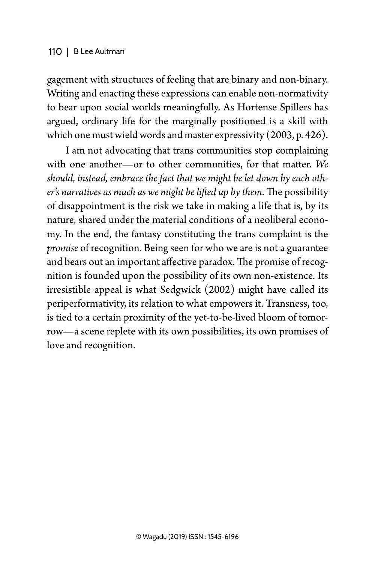gagement with structures of feeling that are binary and non-binary. Writing and enacting these expressions can enable non-normativity to bear upon social worlds meaningfully. As Hortense Spillers has argued, ordinary life for the marginally positioned is a skill with which one must wield words and master expressivity (2003, p. 426).

I am not advocating that trans communities stop complaining with one another—or to other communities, for that matter. *We should, instead, embrace the fact that we might be let down by each other's narratives as much as we might be lifted up by them*. The possibility of disappointment is the risk we take in making a life that is, by its nature, shared under the material conditions of a neoliberal economy. In the end, the fantasy constituting the trans complaint is the *promise* of recognition. Being seen for who we are is not a guarantee and bears out an important affective paradox. The promise of recognition is founded upon the possibility of its own non-existence. Its irresistible appeal is what Sedgwick (2002) might have called its periperformativity, its relation to what empowers it. Transness, too, is tied to a certain proximity of the yet-to-be-lived bloom of tomorrow—a scene replete with its own possibilities, its own promises of love and recognition.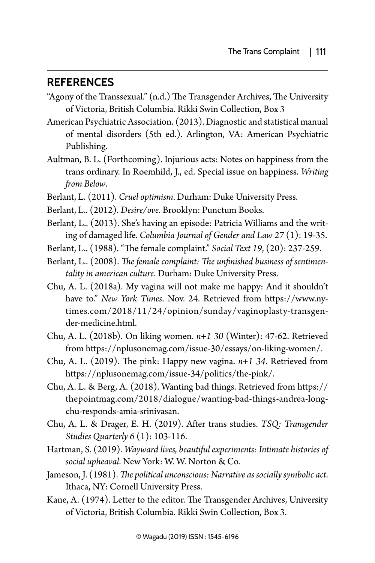### **References**

- "Agony of the Transsexual." (n.d.) The Transgender Archives, The University of Victoria, British Columbia. Rikki Swin Collection, Box 3
- American Psychiatric Association. (2013). Diagnostic and statistical manual of mental disorders (5th ed.). Arlington, VA: American Psychiatric Publishing.
- Aultman, B. L. (Forthcoming). Injurious acts: Notes on happiness from the trans ordinary. In Roemhild, J., ed. Special issue on happiness. *Writing from Below*.
- Berlant, L. (2011). *Cruel optimism*. Durham: Duke University Press.
- Berlant, L.. (2012). *Desire/ove*. Brooklyn: Punctum Books.
- Berlant, L.. (2013). She's having an episode: Patricia Williams and the writing of damaged life. *Columbia Journal of Gender and Law 27* (1): 19-35.
- Berlant, L.. (1988). "The female complaint." *Social Text 19*, (20): 237-259.
- Berlant, L.. (2008). *The female complaint: The unfinished business of sentimentality in american culture*. Durham: Duke University Press.
- Chu, A. L. (2018a). My vagina will not make me happy: And it shouldn't have to." *New York Times*. Nov. 24. Retrieved from [https://www.ny](https://www.nytimes.com/2018/11/24/opinion/sunday/vaginoplasty-transgender-medicine.html)[times.com/2018/11/24/opinion/sunday/vaginoplasty-transgen](https://www.nytimes.com/2018/11/24/opinion/sunday/vaginoplasty-transgender-medicine.html)[der-medicine.html](https://www.nytimes.com/2018/11/24/opinion/sunday/vaginoplasty-transgender-medicine.html).
- Chu, A. L. (2018b). On liking women. *n+1 30* (Winter): 47-62. Retrieved from [https://nplusonemag.com/issue-30/essays/on-liking-women/.](https://nplusonemag.com/issue-30/essays/on-liking-women/)
- Chu, A. L. (2019). The pink: Happy new vagina. *n+1 34*. Retrieved from https://nplusonemag.com/issue-34/politics/the-pink/.
- Chu, A. L. & Berg, A. (2018). Wanting bad things. Retrieved from https:// thepointmag.com/2018/dialogue/wanting-bad-things-andrea-longchu-responds-amia-srinivasan.
- Chu, A. L. & Drager, E. H. (2019). After trans studies. *TSQ: Transgender Studies Quarterly 6* (1): 103-116.
- Hartman, S. (2019). *Wayward lives, beautiful experiments: Intimate histories of social upheaval*. New York: W. W. Norton & Co.
- Jameson, J. (1981). *The political unconscious: Narrative as socially symbolic act*. Ithaca, NY: Cornell University Press.
- Kane, A. (1974). Letter to the editor. The Transgender Archives, University of Victoria, British Columbia. Rikki Swin Collection, Box 3.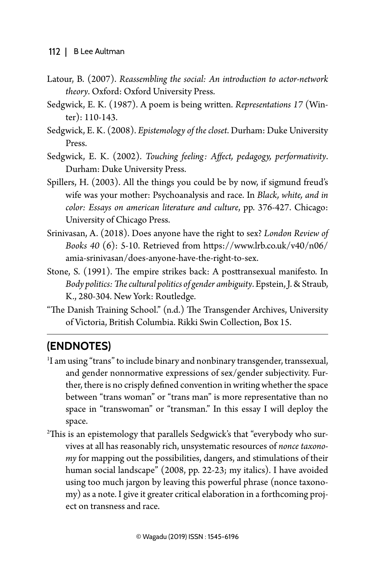- Latour, B. (2007). *Reassembling the social: An introduction to actor-network theory*. Oxford: Oxford University Press.
- Sedgwick, E. K. (1987). A poem is being written. *Representations 17* (Winter): 110-143.
- Sedgwick, E. K. (2008). *Epistemology of the closet*. Durham: Duke University Press.
- Sedgwick, E. K. (2002). *Touching feeling: Affect, pedagogy, performativity*. Durham: Duke University Press.
- Spillers, H. (2003). All the things you could be by now, if sigmund freud's wife was your mother: Psychoanalysis and race. In *Black, white, and in color: Essays on american literature and culture*, pp. 376-427. Chicago: University of Chicago Press.
- Srinivasan, A. (2018). Does anyone have the right to sex? *London Review of Books 40* (6): 5-10. Retrieved from https://www.lrb.co.uk/v40/n06/ amia-srinivasan/does-anyone-have-the-right-to-sex.
- Stone, S. (1991). The empire strikes back: A posttransexual manifesto. In *Body politics: The cultural politics of gender ambiguity*. Epstein, J. & Straub, K., 280-304. New York: Routledge.
- "The Danish Training School." (n.d.) The Transgender Archives, University of Victoria, British Columbia. Rikki Swin Collection, Box 15.

## **(Endnotes)**

- 1 I am using "trans" to include binary and nonbinary transgender, transsexual, and gender nonnormative expressions of sex/gender subjectivity. Further, there is no crisply defined convention in writing whether the space between "trans woman" or "trans man" is more representative than no space in "transwoman" or "transman." In this essay I will deploy the
- space. 2 This is an epistemology that parallels Sedgwick's that "everybody who survives at all has reasonably rich, unsystematic resources of *nonce taxonomy* for mapping out the possibilities, dangers, and stimulations of their human social landscape" (2008, pp. 22-23; my italics). I have avoided using too much jargon by leaving this powerful phrase (nonce taxonomy) as a note. I give it greater critical elaboration in a forthcoming project on transness and race.